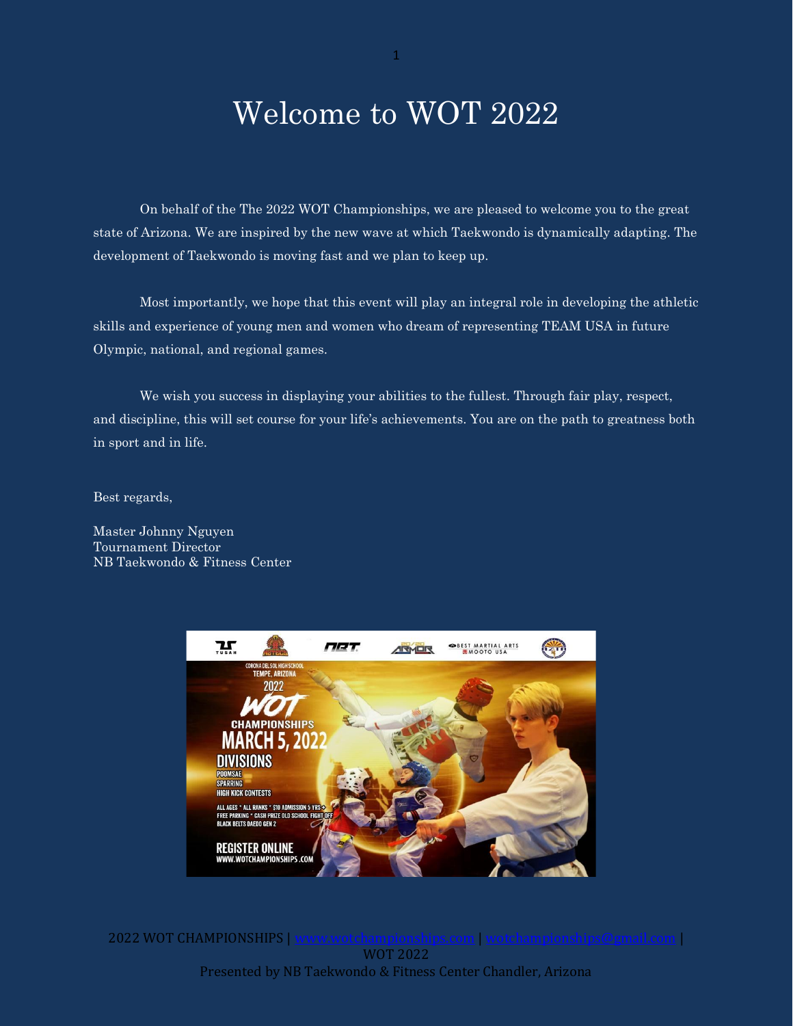# Welcome to WOT 2022

On behalf of the The 2022 WOT Championships, we are pleased to welcome you to the great state of Arizona. We are inspired by the new wave at which Taekwondo is dynamically adapting. The development of Taekwondo is moving fast and we plan to keep up.

Most importantly, we hope that this event will play an integral role in developing the athletic skills and experience of young men and women who dream of representing TEAM USA in future Olympic, national, and regional games.

We wish you success in displaying your abilities to the fullest. Through fair play, respect, and discipline, this will set course for your life's achievements. You are on the path to greatness both in sport and in life.

Best regards,

Master Johnny Nguyen Tournament Director NB Taekwondo & Fitness Center



2022 WOT CHAMPIONSHIPS | WOT 2022 Presented by NB Taekwondo & Fitness Center Chandler, Arizona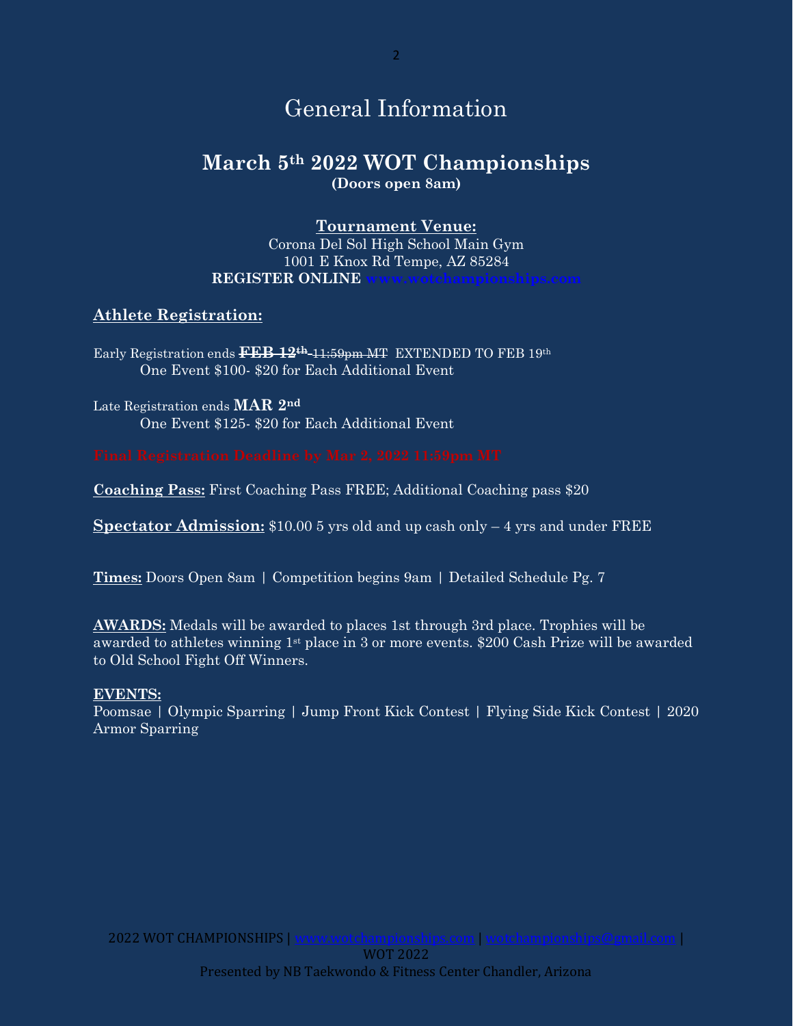# General Information

## **March 5th 2022 WOT Championships (Doors open 8am)**

### **Tournament Venue:**

Corona Del Sol High School Main Gym 1001 E Knox Rd Tempe, AZ 85284 **REGISTER ONLINE** 

### **Athlete Registration:**

Early Registration ends **FEB 12th** 11:59pm MT EXTENDED TO FEB 19th One Event \$100- \$20 for Each Additional Event

Late Registration ends **MAR 2nd** One Event \$125- \$20 for Each Additional Event

**Coaching Pass:** First Coaching Pass FREE; Additional Coaching pass \$20

**Spectator Admission:** \$10.00 5 yrs old and up cash only – 4 yrs and under FREE

**Times:** Doors Open 8am | Competition begins 9am | Detailed Schedule Pg. 7

**AWARDS:** Medals will be awarded to places 1st through 3rd place. Trophies will be awarded to athletes winning 1st place in 3 or more events. \$200 Cash Prize will be awarded to Old School Fight Off Winners.

#### **EVENTS:**

Poomsae | Olympic Sparring | Jump Front Kick Contest | Flying Side Kick Contest | 2020 Armor Sparring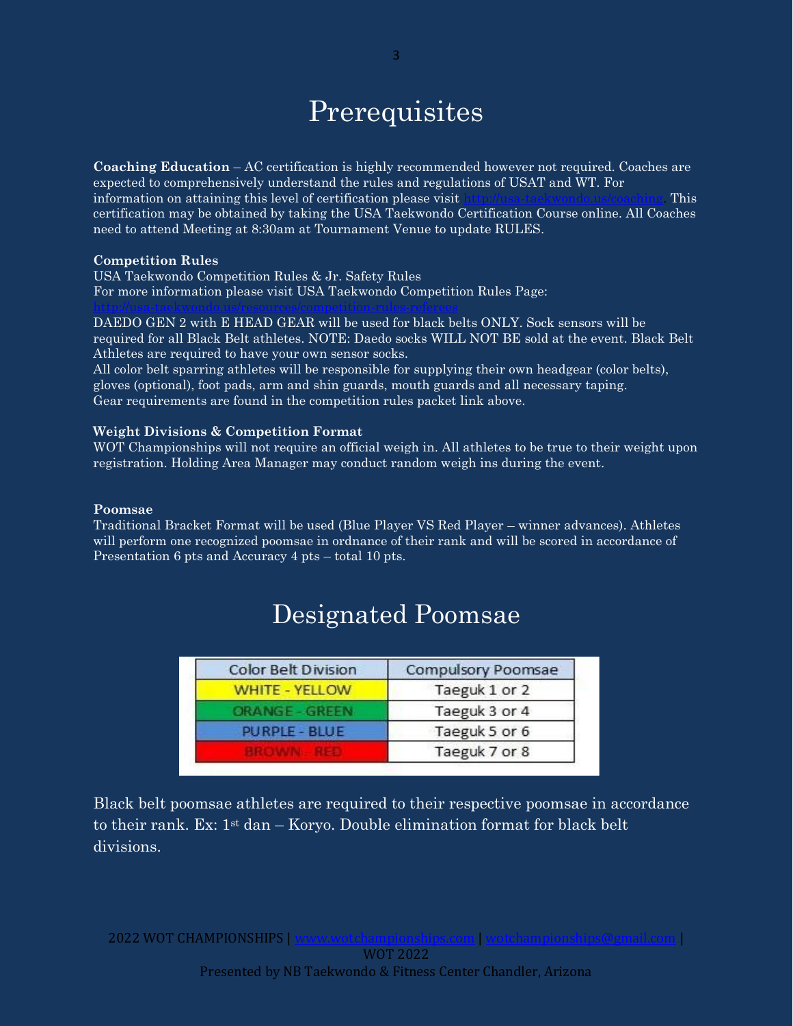# **Prerequisites**

**Coaching Education** – AC certification is highly recommended however not required. Coaches are expected to comprehensively understand the rules and regulations of USAT and WT. For information on attaining this level of certification please visit [http://usa-taekwondo.us/coaching.](http://usa-taekwondo.us/coaching) This certification may be obtained by taking the USA Taekwondo Certification Course online. All Coaches need to attend Meeting at 8:30am at Tournament Venue to update RULES.

#### **Competition Rules**

USA Taekwondo Competition Rules & Jr. Safety Rules For more information please visit USA Taekwondo Competition Rules Page:

DAEDO GEN 2 with E HEAD GEAR will be used for black belts ONLY. Sock sensors will be required for all Black Belt athletes. NOTE: Daedo socks WILL NOT BE sold at the event. Black Belt Athletes are required to have your own sensor socks.

All color belt sparring athletes will be responsible for supplying their own headgear (color belts), gloves (optional), foot pads, arm and shin guards, mouth guards and all necessary taping. Gear requirements are found in the competition rules packet link above.

#### **Weight Divisions & Competition Format**

WOT Championships will not require an official weigh in. All athletes to be true to their weight upon registration. Holding Area Manager may conduct random weigh ins during the event.

#### **Poomsae**

Traditional Bracket Format will be used (Blue Player VS Red Player – winner advances). Athletes will perform one recognized poomsae in ordnance of their rank and will be scored in accordance of Presentation 6 pts and Accuracy 4 pts – total 10 pts.

| Color Belt Division   | Compulsory Poomsae |
|-----------------------|--------------------|
| <b>WHITE - YELLOW</b> | Taeguk 1 or 2      |
| ORANGE - GREEN        | Taeguk 3 or 4      |
| <b>PURPLE - BLUE</b>  | Taeguk 5 or 6      |
|                       | Taeguk 7 or 8      |

## Designated Poomsae

Black belt poomsae athletes are required to their respective poomsae in accordance to their rank. Ex:  $1^{st}$  dan – Koryo. Double elimination format for black belt divisions.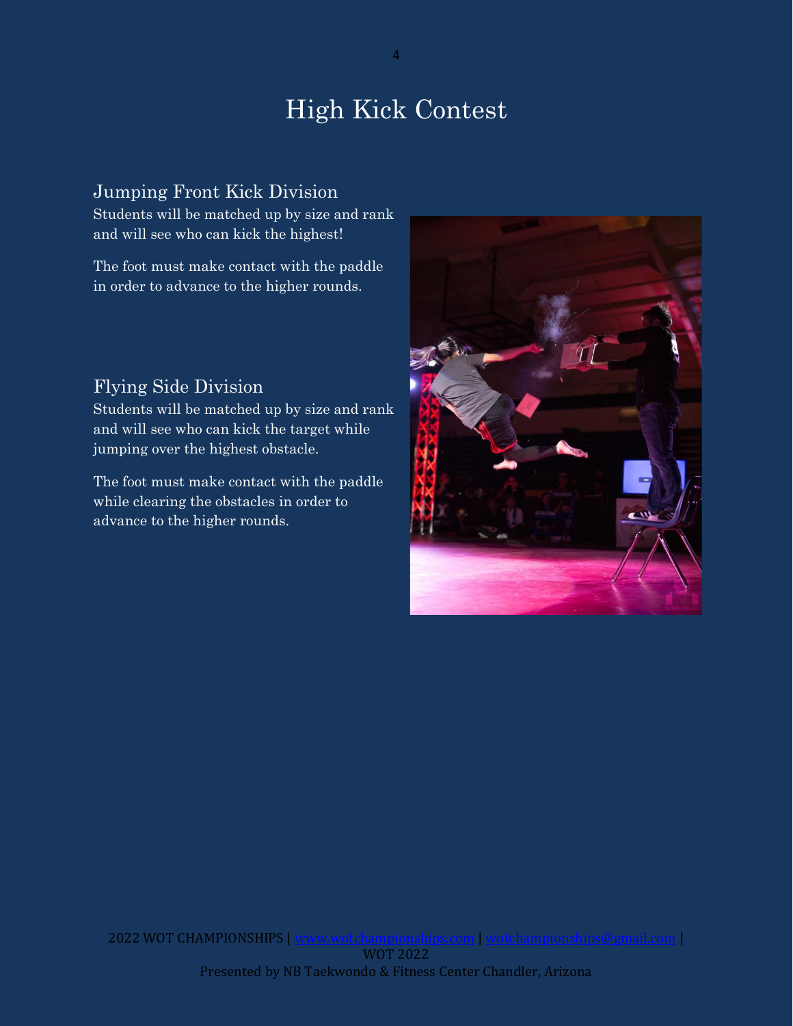# High Kick Contest

### Jumping Front Kick Division

Students will be matched up by size and rank and will see who can kick the highest!

The foot must make contact with the paddle in order to advance to the higher rounds.

## Flying Side Division

Students will be matched up by size and rank and will see who can kick the target while jumping over the highest obstacle.

The foot must make contact with the paddle while clearing the obstacles in order to advance to the higher rounds.



4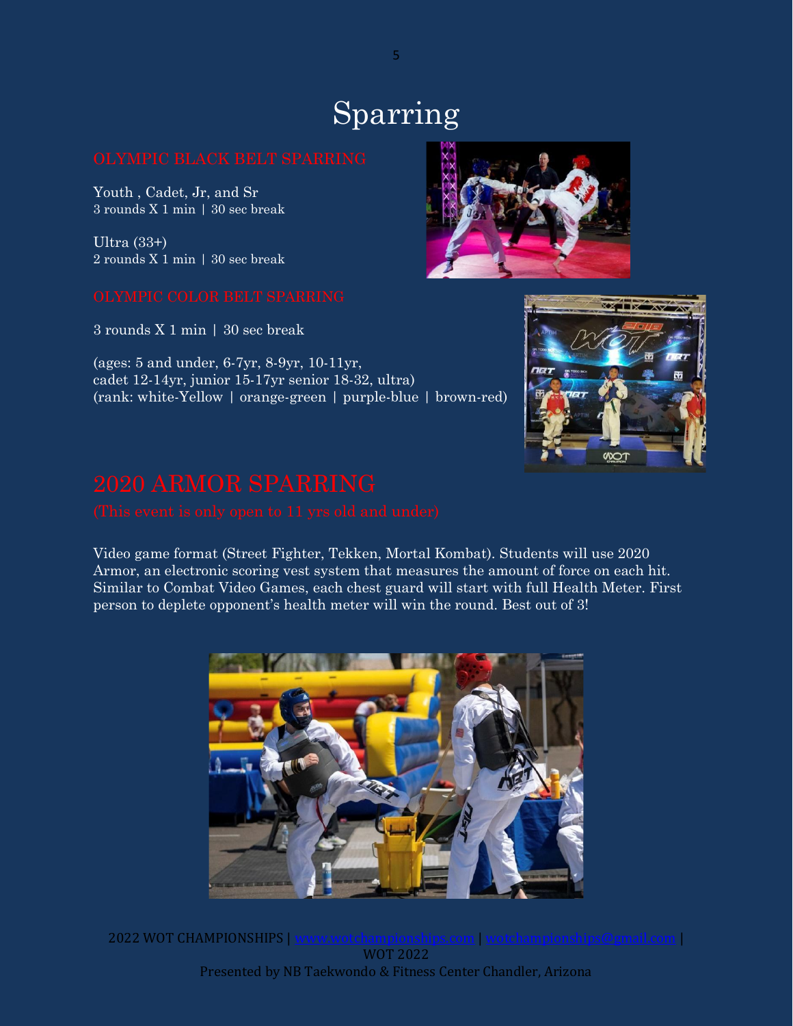# Sparring

Youth , Cadet, Jr, and Sr 3 rounds X 1 min | 30 sec break

Ultra (33+) 2 rounds X 1 min | 30 sec break

3 rounds X 1 min | 30 sec break

(ages: 5 and under, 6-7yr, 8-9yr, 10-11yr, cadet 12-14yr, junior 15-17yr senior 18-32, ultra) (rank: white-Yellow | orange-green | purple-blue | brown-red)

Video game format (Street Fighter, Tekken, Mortal Kombat). Students will use 2020 Armor, an electronic scoring vest system that measures the amount of force on each hit. Similar to Combat Video Games, each chest guard will start with full Health Meter. First person to deplete opponent's health meter will win the round. Best out of 3!



Presented by NB Taekwondo & Fitness Center Chandler, Arizona



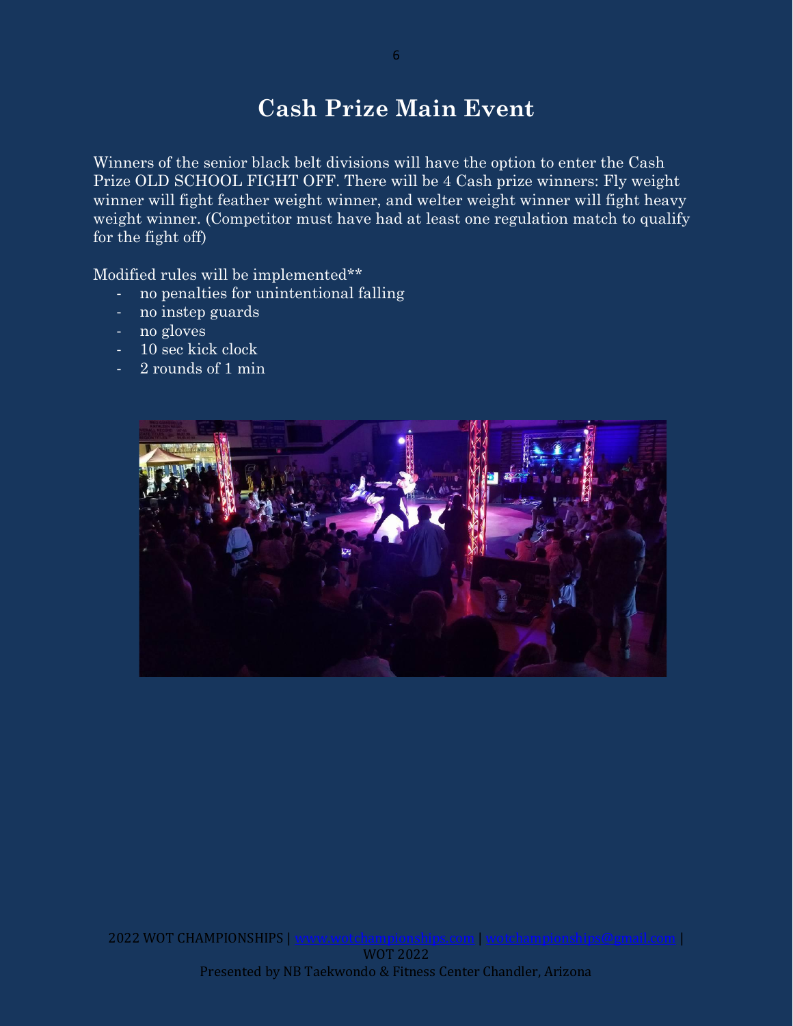# **Cash Prize Main Event**

Winners of the senior black belt divisions will have the option to enter the Cash Prize OLD SCHOOL FIGHT OFF. There will be 4 Cash prize winners: Fly weight winner will fight feather weight winner, and welter weight winner will fight heavy weight winner. (Competitor must have had at least one regulation match to qualify for the fight off)

Modified rules will be implemented\*\*

- no penalties for unintentional falling
- no instep guards
- no gloves
- 10 sec kick clock
- 2 rounds of 1 min